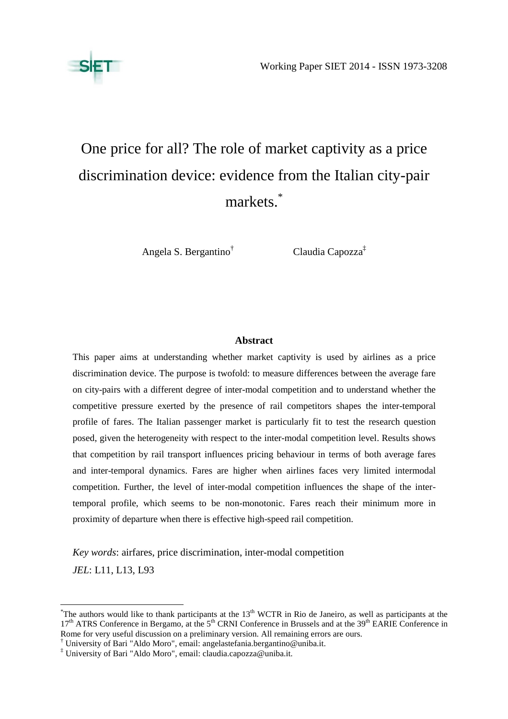

# One price for all? The role of market captivity as a price discrimination device: evidence from the Italian city-pair markets.\*

Angela S. Bergantino†

Claudia Capozza‡

## **Abstract**

This paper aims at understanding whether market captivity is used by airlines as a price discrimination device. The purpose is twofold: to measure differences between the average fare on city-pairs with a different degree of inter-modal competition and to understand whether the competitive pressure exerted by the presence of rail competitors shapes the inter-temporal profile of fares. The Italian passenger market is particularly fit to test the research question posed, given the heterogeneity with respect to the inter-modal competition level. Results shows that competition by rail transport influences pricing behaviour in terms of both average fares and inter-temporal dynamics. Fares are higher when airlines faces very limited intermodal competition. Further, the level of inter-modal competition influences the shape of the intertemporal profile, which seems to be non-monotonic. Fares reach their minimum more in proximity of departure when there is effective high-speed rail competition.

*Key words*: airfares, price discrimination, inter-modal competition *JEL*: L11, L13, L93

 $\overline{a}$ 

<sup>&</sup>lt;sup>\*</sup>The authors would like to thank participants at the  $13<sup>th</sup> WCTR$  in Rio de Janeiro, as well as participants at the 17<sup>th</sup> ATRS Conference in Bergamo, at the 5<sup>th</sup> CRNI Conference in Brussels and at the 39<sup>th</sup> EARIE Conference in Rome for very useful discussion on a preliminary version. All remaining errors are ours.

<sup>†</sup> University of Bari "Aldo Moro", email: angelastefania.bergantino@uniba.it.

<sup>‡</sup> University of Bari "Aldo Moro", email: claudia.capozza@uniba.it.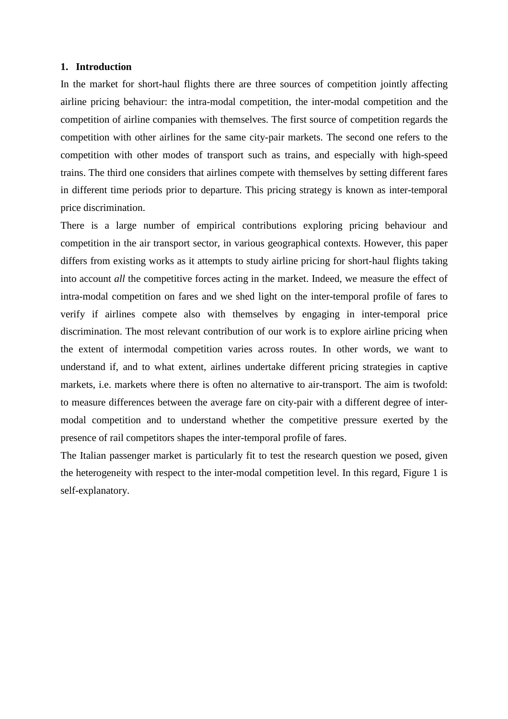#### **1. Introduction**

In the market for short-haul flights there are three sources of competition jointly affecting airline pricing behaviour: the intra-modal competition, the inter-modal competition and the competition of airline companies with themselves. The first source of competition regards the competition with other airlines for the same city-pair markets. The second one refers to the competition with other modes of transport such as trains, and especially with high-speed trains. The third one considers that airlines compete with themselves by setting different fares in different time periods prior to departure. This pricing strategy is known as inter-temporal price discrimination.

There is a large number of empirical contributions exploring pricing behaviour and competition in the air transport sector, in various geographical contexts. However, this paper differs from existing works as it attempts to study airline pricing for short-haul flights taking into account *all* the competitive forces acting in the market. Indeed, we measure the effect of intra-modal competition on fares and we shed light on the inter-temporal profile of fares to verify if airlines compete also with themselves by engaging in inter-temporal price discrimination. The most relevant contribution of our work is to explore airline pricing when the extent of intermodal competition varies across routes. In other words, we want to understand if, and to what extent, airlines undertake different pricing strategies in captive markets, i.e. markets where there is often no alternative to air-transport. The aim is twofold: to measure differences between the average fare on city-pair with a different degree of intermodal competition and to understand whether the competitive pressure exerted by the presence of rail competitors shapes the inter-temporal profile of fares.

The Italian passenger market is particularly fit to test the research question we posed, given the heterogeneity with respect to the inter-modal competition level. In this regard, Figure 1 is self-explanatory.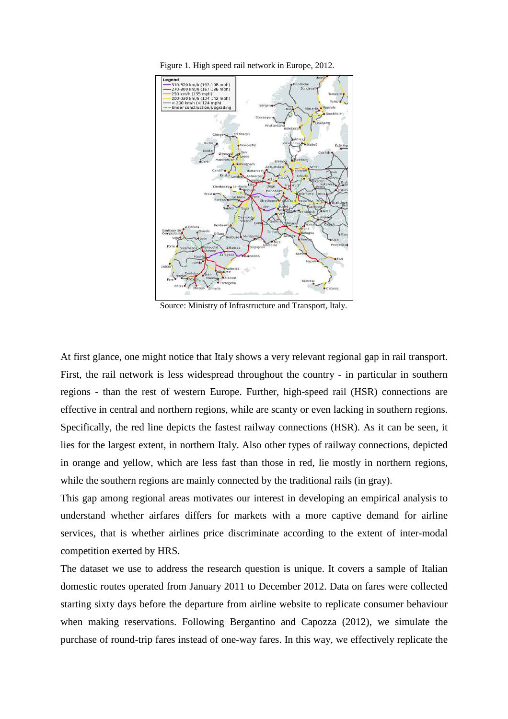

Figure 1. High speed rail network in Europe, 2012.

Source: Ministry of Infrastructure and Transport, Italy.

At first glance, one might notice that Italy shows a very relevant regional gap in rail transport. First, the rail network is less widespread throughout the country - in particular in southern regions - than the rest of western Europe. Further, high-speed rail (HSR) connections are effective in central and northern regions, while are scanty or even lacking in southern regions. Specifically, the red line depicts the fastest railway connections (HSR). As it can be seen, it lies for the largest extent, in northern Italy. Also other types of railway connections, depicted in orange and yellow, which are less fast than those in red, lie mostly in northern regions, while the southern regions are mainly connected by the traditional rails (in gray).

This gap among regional areas motivates our interest in developing an empirical analysis to understand whether airfares differs for markets with a more captive demand for airline services, that is whether airlines price discriminate according to the extent of inter-modal competition exerted by HRS.

The dataset we use to address the research question is unique. It covers a sample of Italian domestic routes operated from January 2011 to December 2012. Data on fares were collected starting sixty days before the departure from airline website to replicate consumer behaviour when making reservations. Following Bergantino and Capozza (2012), we simulate the purchase of round-trip fares instead of one-way fares. In this way, we effectively replicate the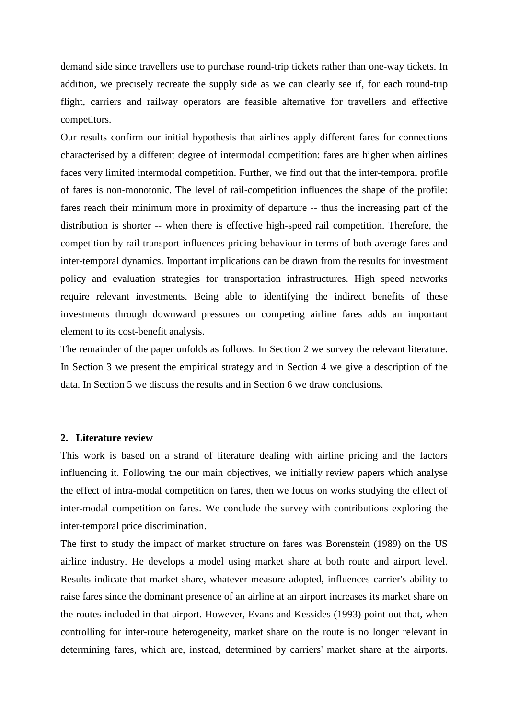demand side since travellers use to purchase round-trip tickets rather than one-way tickets. In addition, we precisely recreate the supply side as we can clearly see if, for each round-trip flight, carriers and railway operators are feasible alternative for travellers and effective competitors.

Our results confirm our initial hypothesis that airlines apply different fares for connections characterised by a different degree of intermodal competition: fares are higher when airlines faces very limited intermodal competition. Further, we find out that the inter-temporal profile of fares is non-monotonic. The level of rail-competition influences the shape of the profile: fares reach their minimum more in proximity of departure -- thus the increasing part of the distribution is shorter -- when there is effective high-speed rail competition. Therefore, the competition by rail transport influences pricing behaviour in terms of both average fares and inter-temporal dynamics. Important implications can be drawn from the results for investment policy and evaluation strategies for transportation infrastructures. High speed networks require relevant investments. Being able to identifying the indirect benefits of these investments through downward pressures on competing airline fares adds an important element to its cost-benefit analysis.

The remainder of the paper unfolds as follows. In Section 2 we survey the relevant literature. In Section 3 we present the empirical strategy and in Section 4 we give a description of the data. In Section 5 we discuss the results and in Section 6 we draw conclusions.

#### **2. Literature review**

This work is based on a strand of literature dealing with airline pricing and the factors influencing it. Following the our main objectives, we initially review papers which analyse the effect of intra-modal competition on fares, then we focus on works studying the effect of inter-modal competition on fares. We conclude the survey with contributions exploring the inter-temporal price discrimination.

The first to study the impact of market structure on fares was Borenstein (1989) on the US airline industry. He develops a model using market share at both route and airport level. Results indicate that market share, whatever measure adopted, influences carrier's ability to raise fares since the dominant presence of an airline at an airport increases its market share on the routes included in that airport. However, Evans and Kessides (1993) point out that, when controlling for inter-route heterogeneity, market share on the route is no longer relevant in determining fares, which are, instead, determined by carriers' market share at the airports.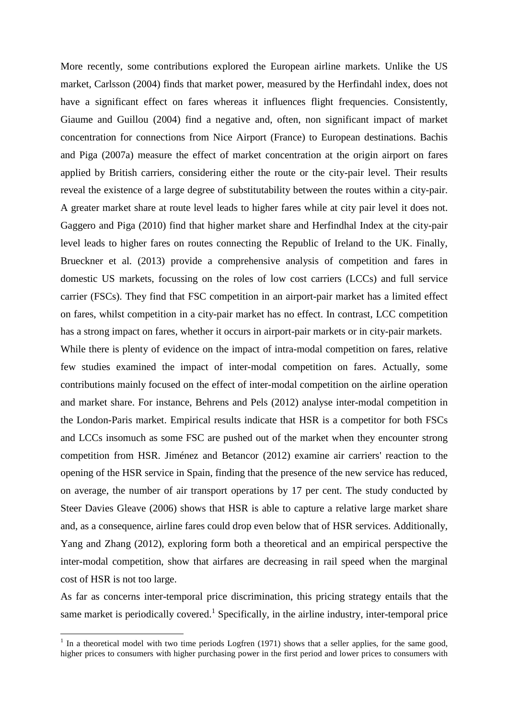More recently, some contributions explored the European airline markets. Unlike the US market, Carlsson (2004) finds that market power, measured by the Herfindahl index, does not have a significant effect on fares whereas it influences flight frequencies. Consistently, Giaume and Guillou (2004) find a negative and, often, non significant impact of market concentration for connections from Nice Airport (France) to European destinations. Bachis and Piga (2007a) measure the effect of market concentration at the origin airport on fares applied by British carriers, considering either the route or the city-pair level. Their results reveal the existence of a large degree of substitutability between the routes within a city-pair. A greater market share at route level leads to higher fares while at city pair level it does not. Gaggero and Piga (2010) find that higher market share and Herfindhal Index at the city-pair level leads to higher fares on routes connecting the Republic of Ireland to the UK. Finally, Brueckner et al. (2013) provide a comprehensive analysis of competition and fares in domestic US markets, focussing on the roles of low cost carriers (LCCs) and full service carrier (FSCs). They find that FSC competition in an airport-pair market has a limited effect on fares, whilst competition in a city-pair market has no effect. In contrast, LCC competition has a strong impact on fares, whether it occurs in airport-pair markets or in city-pair markets.

While there is plenty of evidence on the impact of intra-modal competition on fares, relative few studies examined the impact of inter-modal competition on fares. Actually, some contributions mainly focused on the effect of inter-modal competition on the airline operation and market share. For instance, Behrens and Pels (2012) analyse inter-modal competition in the London-Paris market. Empirical results indicate that HSR is a competitor for both FSCs and LCCs insomuch as some FSC are pushed out of the market when they encounter strong competition from HSR. Jiménez and Betancor (2012) examine air carriers' reaction to the opening of the HSR service in Spain, finding that the presence of the new service has reduced, on average, the number of air transport operations by 17 per cent. The study conducted by Steer Davies Gleave (2006) shows that HSR is able to capture a relative large market share and, as a consequence, airline fares could drop even below that of HSR services. Additionally, Yang and Zhang (2012), exploring form both a theoretical and an empirical perspective the inter-modal competition, show that airfares are decreasing in rail speed when the marginal cost of HSR is not too large.

As far as concerns inter-temporal price discrimination, this pricing strategy entails that the same market is periodically covered.<sup>1</sup> Specifically, in the airline industry, inter-temporal price

 $\overline{a}$ 

 $<sup>1</sup>$  In a theoretical model with two time periods Logfren (1971) shows that a seller applies, for the same good,</sup> higher prices to consumers with higher purchasing power in the first period and lower prices to consumers with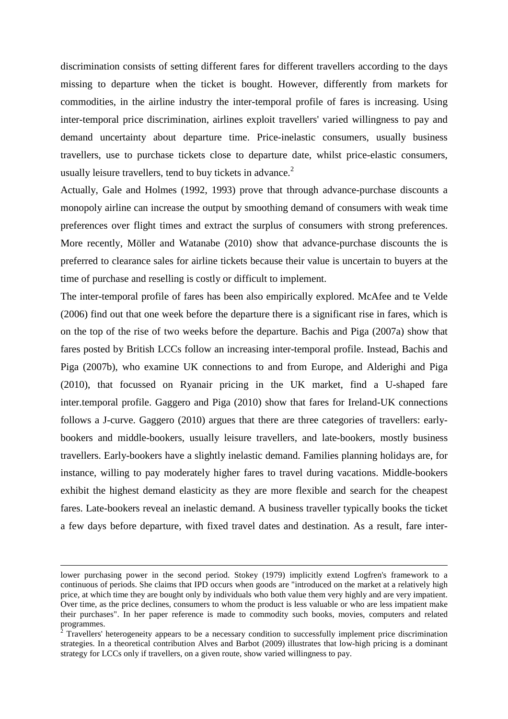discrimination consists of setting different fares for different travellers according to the days missing to departure when the ticket is bought. However, differently from markets for commodities, in the airline industry the inter-temporal profile of fares is increasing. Using inter-temporal price discrimination, airlines exploit travellers' varied willingness to pay and demand uncertainty about departure time. Price-inelastic consumers, usually business travellers, use to purchase tickets close to departure date, whilst price-elastic consumers, usually leisure travellers, tend to buy tickets in advance.<sup>2</sup>

Actually, Gale and Holmes (1992, 1993) prove that through advance-purchase discounts a monopoly airline can increase the output by smoothing demand of consumers with weak time preferences over flight times and extract the surplus of consumers with strong preferences. More recently, Möller and Watanabe (2010) show that advance-purchase discounts the is preferred to clearance sales for airline tickets because their value is uncertain to buyers at the time of purchase and reselling is costly or difficult to implement.

The inter-temporal profile of fares has been also empirically explored. McAfee and te Velde (2006) find out that one week before the departure there is a significant rise in fares, which is on the top of the rise of two weeks before the departure. Bachis and Piga (2007a) show that fares posted by British LCCs follow an increasing inter-temporal profile. Instead, Bachis and Piga (2007b), who examine UK connections to and from Europe, and Alderighi and Piga (2010), that focussed on Ryanair pricing in the UK market, find a U-shaped fare inter.temporal profile. Gaggero and Piga (2010) show that fares for Ireland-UK connections follows a J-curve. Gaggero (2010) argues that there are three categories of travellers: earlybookers and middle-bookers, usually leisure travellers, and late-bookers, mostly business travellers. Early-bookers have a slightly inelastic demand. Families planning holidays are, for instance, willing to pay moderately higher fares to travel during vacations. Middle-bookers exhibit the highest demand elasticity as they are more flexible and search for the cheapest fares. Late-bookers reveal an inelastic demand. A business traveller typically books the ticket a few days before departure, with fixed travel dates and destination. As a result, fare inter-

l

lower purchasing power in the second period. Stokey (1979) implicitly extend Logfren's framework to a continuous of periods. She claims that IPD occurs when goods are "introduced on the market at a relatively high price, at which time they are bought only by individuals who both value them very highly and are very impatient. Over time, as the price declines, consumers to whom the product is less valuable or who are less impatient make their purchases". In her paper reference is made to commodity such books, movies, computers and related programmes.

 $\bar{2}$  Travellers' heterogeneity appears to be a necessary condition to successfully implement price discrimination strategies. In a theoretical contribution Alves and Barbot (2009) illustrates that low-high pricing is a dominant strategy for LCCs only if travellers, on a given route, show varied willingness to pay.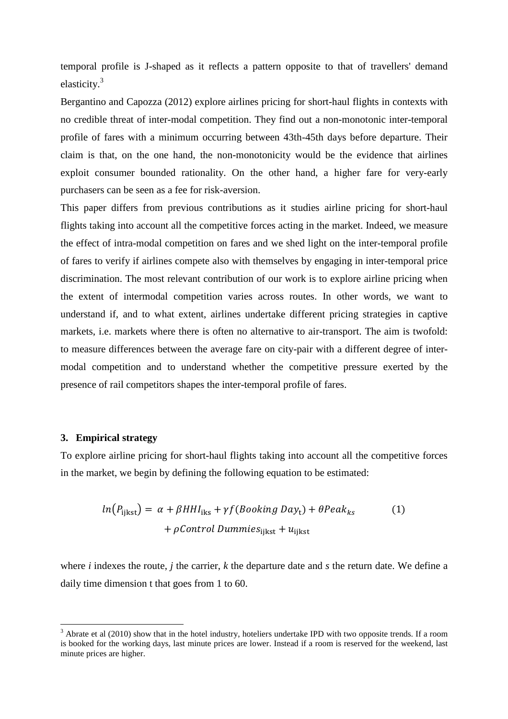temporal profile is J-shaped as it reflects a pattern opposite to that of travellers' demand elasticity.<sup>3</sup>

Bergantino and Capozza (2012) explore airlines pricing for short-haul flights in contexts with no credible threat of inter-modal competition. They find out a non-monotonic inter-temporal profile of fares with a minimum occurring between 43th-45th days before departure. Their claim is that, on the one hand, the non-monotonicity would be the evidence that airlines exploit consumer bounded rationality. On the other hand, a higher fare for very-early purchasers can be seen as a fee for risk-aversion.

This paper differs from previous contributions as it studies airline pricing for short-haul flights taking into account all the competitive forces acting in the market. Indeed, we measure the effect of intra-modal competition on fares and we shed light on the inter-temporal profile of fares to verify if airlines compete also with themselves by engaging in inter-temporal price discrimination. The most relevant contribution of our work is to explore airline pricing when the extent of intermodal competition varies across routes. In other words, we want to understand if, and to what extent, airlines undertake different pricing strategies in captive markets, i.e. markets where there is often no alternative to air-transport. The aim is twofold: to measure differences between the average fare on city-pair with a different degree of intermodal competition and to understand whether the competitive pressure exerted by the presence of rail competitors shapes the inter-temporal profile of fares.

## **3. Empirical strategy**

l

To explore airline pricing for short-haul flights taking into account all the competitive forces in the market, we begin by defining the following equation to be estimated:

$$
ln(P_{\text{ijkst}}) = \alpha + \beta H H I_{\text{iks}} + \gamma f (Booking \text{Day}_{t}) + \theta P e a k_{ks}
$$
  
+  $\rho Control \text{ Dummies}_{\text{ijkst}} + u_{\text{ijkst}}$  (1)

where *i* indexes the route, *j* the carrier, *k* the departure date and *s* the return date. We define a daily time dimension t that goes from 1 to 60.

 $3$  Abrate et al (2010) show that in the hotel industry, hoteliers undertake IPD with two opposite trends. If a room is booked for the working days, last minute prices are lower. Instead if a room is reserved for the weekend, last minute prices are higher.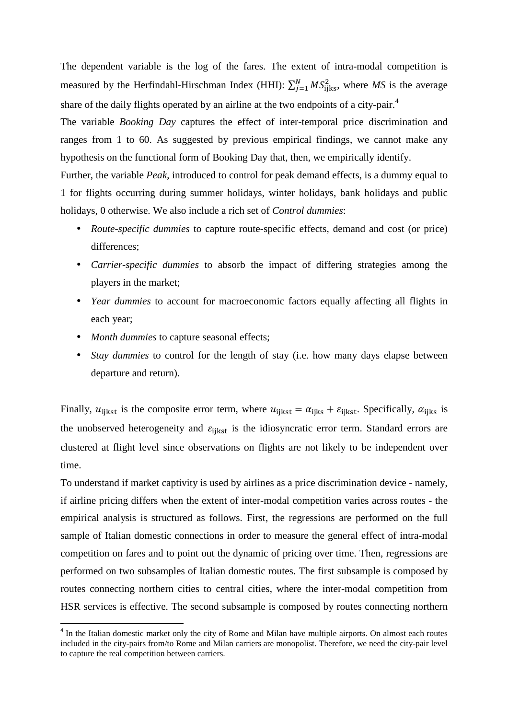The dependent variable is the log of the fares. The extent of intra-modal competition is measured by the Herfindahl-Hirschman Index (HHI):  $\sum_{j=1}^{N} MS_{ijks}^2$ , where MS is the average share of the daily flights operated by an airline at the two endpoints of a city-pair.<sup>4</sup>

The variable *Booking Day* captures the effect of inter-temporal price discrimination and ranges from 1 to 60. As suggested by previous empirical findings, we cannot make any hypothesis on the functional form of Booking Day that, then, we empirically identify.

Further, the variable *Peak*, introduced to control for peak demand effects, is a dummy equal to 1 for flights occurring during summer holidays, winter holidays, bank holidays and public holidays, 0 otherwise. We also include a rich set of *Control dummies*:

- *Route-specific dummies* to capture route-specific effects, demand and cost (or price) differences:
- *Carrier-specific dummies* to absorb the impact of differing strategies among the players in the market;
- *Year dummies* to account for macroeconomic factors equally affecting all flights in each year;
- *Month dummies* to capture seasonal effects;

l

• *Stay dummies* to control for the length of stay (i.e. how many days elapse between departure and return).

Finally,  $u_{\text{iikst}}$  is the composite error term, where  $u_{\text{iikst}} = \alpha_{\text{iikst}} + \varepsilon_{\text{iikst}}$ . Specifically,  $\alpha_{\text{iikst}}$  is the unobserved heterogeneity and  $\varepsilon_{\text{iikst}}$  is the idiosyncratic error term. Standard errors are clustered at flight level since observations on flights are not likely to be independent over time.

To understand if market captivity is used by airlines as a price discrimination device - namely, if airline pricing differs when the extent of inter-modal competition varies across routes - the empirical analysis is structured as follows. First, the regressions are performed on the full sample of Italian domestic connections in order to measure the general effect of intra-modal competition on fares and to point out the dynamic of pricing over time. Then, regressions are performed on two subsamples of Italian domestic routes. The first subsample is composed by routes connecting northern cities to central cities, where the inter-modal competition from HSR services is effective. The second subsample is composed by routes connecting northern

<sup>&</sup>lt;sup>4</sup> In the Italian domestic market only the city of Rome and Milan have multiple airports. On almost each routes included in the city-pairs from/to Rome and Milan carriers are monopolist. Therefore, we need the city-pair level to capture the real competition between carriers.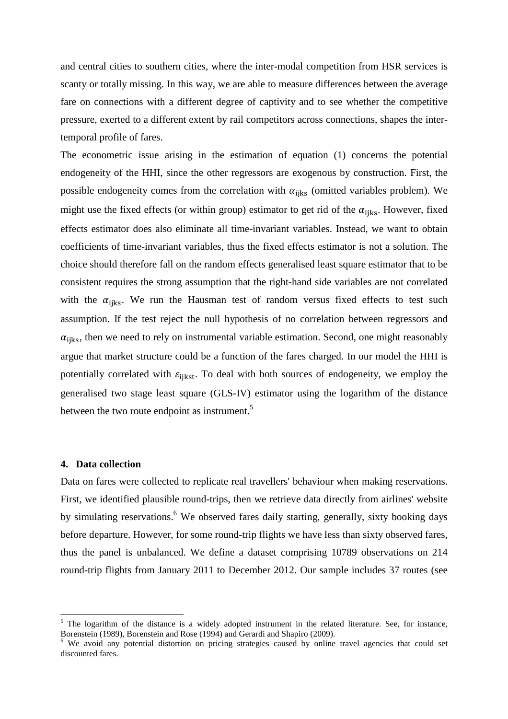and central cities to southern cities, where the inter-modal competition from HSR services is scanty or totally missing. In this way, we are able to measure differences between the average fare on connections with a different degree of captivity and to see whether the competitive pressure, exerted to a different extent by rail competitors across connections, shapes the intertemporal profile of fares.

The econometric issue arising in the estimation of equation (1) concerns the potential endogeneity of the HHI, since the other regressors are exogenous by construction. First, the possible endogeneity comes from the correlation with  $\alpha_{\text{iiks}}$  (omitted variables problem). We might use the fixed effects (or within group) estimator to get rid of the  $\alpha_{\text{iiks}}$ . However, fixed effects estimator does also eliminate all time-invariant variables. Instead, we want to obtain coefficients of time-invariant variables, thus the fixed effects estimator is not a solution. The choice should therefore fall on the random effects generalised least square estimator that to be consistent requires the strong assumption that the right-hand side variables are not correlated with the  $\alpha_{\text{iiks}}$ . We run the Hausman test of random versus fixed effects to test such assumption. If the test reject the null hypothesis of no correlation between regressors and  $\alpha_{iiks}$ , then we need to rely on instrumental variable estimation. Second, one might reasonably argue that market structure could be a function of the fares charged. In our model the HHI is potentially correlated with  $\varepsilon_{\text{iikst}}$ . To deal with both sources of endogeneity, we employ the generalised two stage least square (GLS-IV) estimator using the logarithm of the distance between the two route endpoint as instrument.<sup>5</sup>

## **4. Data collection**

 $\overline{a}$ 

Data on fares were collected to replicate real travellers' behaviour when making reservations. First, we identified plausible round-trips, then we retrieve data directly from airlines' website by simulating reservations.<sup>6</sup> We observed fares daily starting, generally, sixty booking days before departure. However, for some round-trip flights we have less than sixty observed fares, thus the panel is unbalanced. We define a dataset comprising 10789 observations on 214 round-trip flights from January 2011 to December 2012. Our sample includes 37 routes (see

<sup>&</sup>lt;sup>5</sup> The logarithm of the distance is a widely adopted instrument in the related literature. See, for instance, Borenstein (1989), Borenstein and Rose (1994) and Gerardi and Shapiro (2009).

<sup>&</sup>lt;sup>6</sup> We avoid any potential distortion on pricing strategies caused by online travel agencies that could set discounted fares.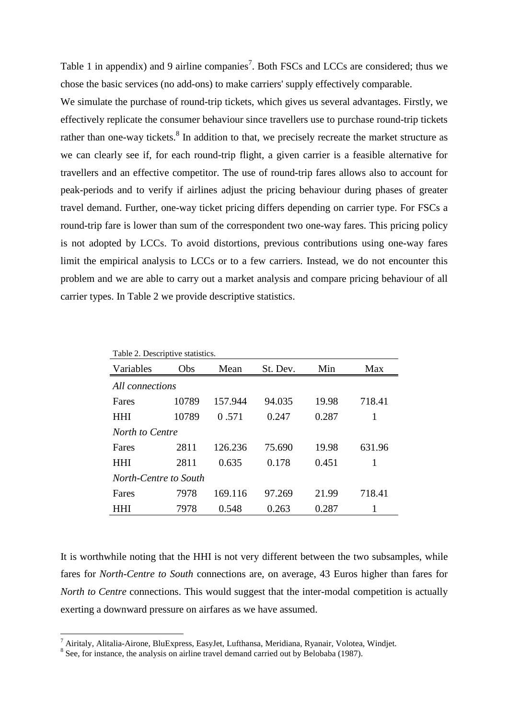Table 1 in appendix) and 9 airline companies<sup>7</sup>. Both FSCs and LCCs are considered; thus we chose the basic services (no add-ons) to make carriers' supply effectively comparable.

We simulate the purchase of round-trip tickets, which gives us several advantages. Firstly, we effectively replicate the consumer behaviour since travellers use to purchase round-trip tickets rather than one-way tickets.<sup>8</sup> In addition to that, we precisely recreate the market structure as we can clearly see if, for each round-trip flight, a given carrier is a feasible alternative for travellers and an effective competitor. The use of round-trip fares allows also to account for peak-periods and to verify if airlines adjust the pricing behaviour during phases of greater travel demand. Further, one-way ticket pricing differs depending on carrier type. For FSCs a round-trip fare is lower than sum of the correspondent two one-way fares. This pricing policy is not adopted by LCCs. To avoid distortions, previous contributions using one-way fares limit the empirical analysis to LCCs or to a few carriers. Instead, we do not encounter this problem and we are able to carry out a market analysis and compare pricing behaviour of all carrier types. In Table 2 we provide descriptive statistics.

| Table 2. Descriptive statistics. |       |         |          |       |        |  |  |  |  |
|----------------------------------|-------|---------|----------|-------|--------|--|--|--|--|
| Variables<br>Obs                 |       | Mean    | St. Dev. | Min   | Max    |  |  |  |  |
| All connections                  |       |         |          |       |        |  |  |  |  |
| Fares                            | 10789 | 157.944 | 94.035   | 19.98 | 718.41 |  |  |  |  |
| <b>HHI</b>                       | 10789 | 0.571   | 0.247    | 0.287 | 1      |  |  |  |  |
| North to Centre                  |       |         |          |       |        |  |  |  |  |
| Fares                            | 2811  | 126.236 | 75.690   | 19.98 | 631.96 |  |  |  |  |
| HHI                              | 2811  | 0.635   | 0.178    | 0.451 | 1      |  |  |  |  |
| North-Centre to South            |       |         |          |       |        |  |  |  |  |
| Fares                            | 7978  | 169.116 | 97.269   | 21.99 | 718.41 |  |  |  |  |
| <b>HHI</b>                       | 7978  | 0.548   | 0.263    | 0.287 |        |  |  |  |  |

It is worthwhile noting that the HHI is not very different between the two subsamples, while fares for *North-Centre to South* connections are, on average, 43 Euros higher than fares for *North to Centre* connections. This would suggest that the inter-modal competition is actually exerting a downward pressure on airfares as we have assumed.

 $\overline{a}$ 

<sup>&</sup>lt;sup>7</sup> Airitaly, Alitalia-Airone, BluExpress, EasyJet, Lufthansa, Meridiana, Ryanair, Volotea, Windjet.

 $8$  See, for instance, the analysis on airline travel demand carried out by Belobaba (1987).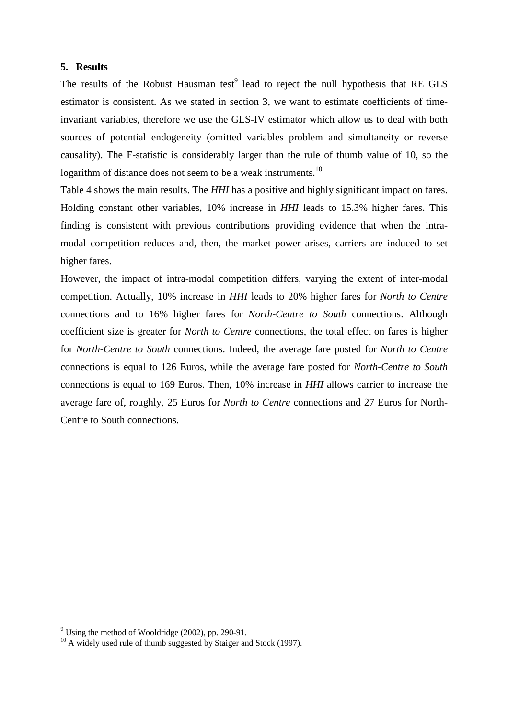# **5. Results**

The results of the Robust Hausman test $<sup>9</sup>$  lead to reject the null hypothesis that RE GLS</sup> estimator is consistent. As we stated in section 3, we want to estimate coefficients of timeinvariant variables, therefore we use the GLS-IV estimator which allow us to deal with both sources of potential endogeneity (omitted variables problem and simultaneity or reverse causality). The F-statistic is considerably larger than the rule of thumb value of 10, so the logarithm of distance does not seem to be a weak instruments.<sup>10</sup>

Table 4 shows the main results. The *HHI* has a positive and highly significant impact on fares. Holding constant other variables, 10% increase in *HHI* leads to 15.3% higher fares. This finding is consistent with previous contributions providing evidence that when the intramodal competition reduces and, then, the market power arises, carriers are induced to set higher fares.

However, the impact of intra-modal competition differs, varying the extent of inter-modal competition. Actually, 10% increase in *HHI* leads to 20% higher fares for *North to Centre*  connections and to 16% higher fares for *North-Centre to South* connections. Although coefficient size is greater for *North to Centre* connections, the total effect on fares is higher for *North-Centre to South* connections. Indeed, the average fare posted for *North to Centre* connections is equal to 126 Euros, while the average fare posted for *North-Centre to South* connections is equal to 169 Euros. Then, 10% increase in *HHI* allows carrier to increase the average fare of, roughly, 25 Euros for *North to Centre* connections and 27 Euros for North-Centre to South connections.

l

 $9^9$  Using the method of Wooldridge (2002), pp. 290-91.

<sup>&</sup>lt;sup>10</sup> A widely used rule of thumb suggested by Staiger and Stock (1997).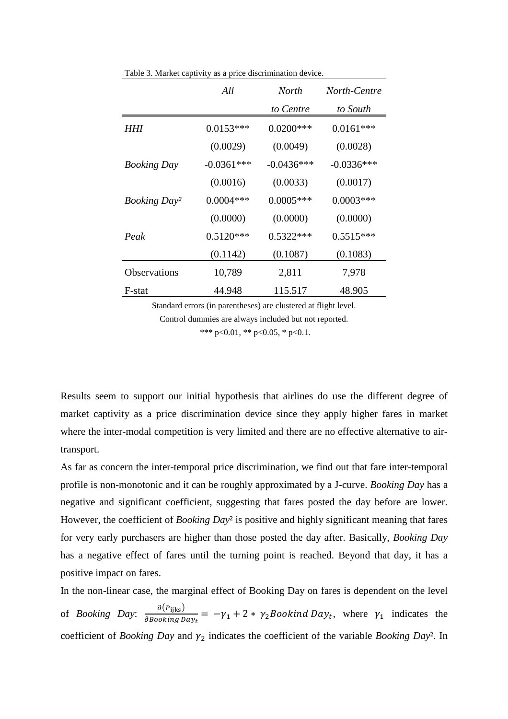|                                 | All          | North        | North-Centre |
|---------------------------------|--------------|--------------|--------------|
|                                 |              | to Centre    | to South     |
| HHI                             | $0.0153***$  | $0.0200$ *** | $0.0161***$  |
|                                 | (0.0029)     | (0.0049)     | (0.0028)     |
| <b>Booking Day</b>              | $-0.0361***$ | $-0.0436***$ | $-0.0336***$ |
|                                 | (0.0016)     | (0.0033)     | (0.0017)     |
| <b>Booking Day</b> <sup>2</sup> | $0.0004***$  | $0.0005***$  | $0.0003***$  |
|                                 | (0.0000)     | (0.0000)     | (0.0000)     |
| Peak                            | $0.5120***$  | $0.5322***$  | $0.5515***$  |
|                                 | (0.1142)     | (0.1087)     | (0.1083)     |
| <b>Observations</b>             | 10,789       | 2,811        | 7,978        |
| F-stat                          | 44.948       | 115.517      | 48.905       |

Table 3. Market captivity as a price discrimination device.

Standard errors (in parentheses) are clustered at flight level.

Control dummies are always included but not reported.

\*\*\* p<0.01, \*\* p<0.05, \* p<0.1.

Results seem to support our initial hypothesis that airlines do use the different degree of market captivity as a price discrimination device since they apply higher fares in market where the inter-modal competition is very limited and there are no effective alternative to airtransport.

As far as concern the inter-temporal price discrimination, we find out that fare inter-temporal profile is non-monotonic and it can be roughly approximated by a J-curve. *Booking Day* has a negative and significant coefficient, suggesting that fares posted the day before are lower. However, the coefficient of *Booking Day*² is positive and highly significant meaning that fares for very early purchasers are higher than those posted the day after. Basically, *Booking Day* has a negative effect of fares until the turning point is reached. Beyond that day, it has a positive impact on fares.

In the non-linear case, the marginal effect of Booking Day on fares is dependent on the level of *Booking Day*:  $\frac{\partial (P_{ijks})}{\partial \text{Booking Day}_t} = -\gamma_1 + 2 * \gamma_2 \text{Bookind Day}_t$ , where  $\gamma_1$  indicates the coefficient of *Booking Day* and  $\gamma_2$  indicates the coefficient of the variable *Booking Day*<sup>2</sup>. In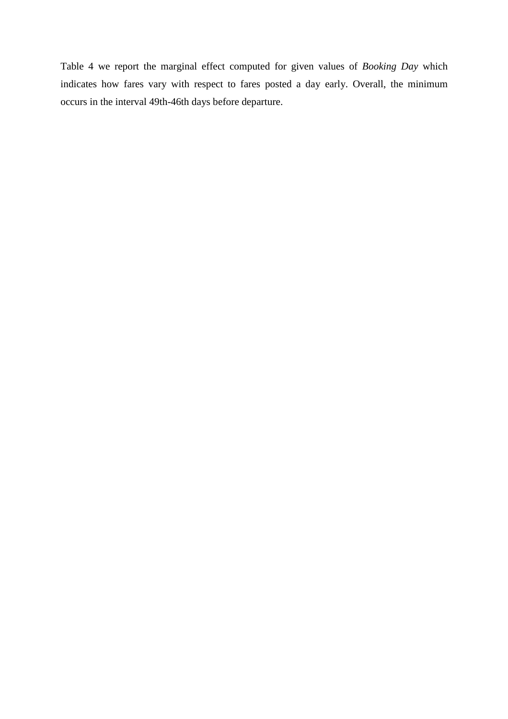Table 4 we report the marginal effect computed for given values of *Booking Day* which indicates how fares vary with respect to fares posted a day early. Overall, the minimum occurs in the interval 49th-46th days before departure.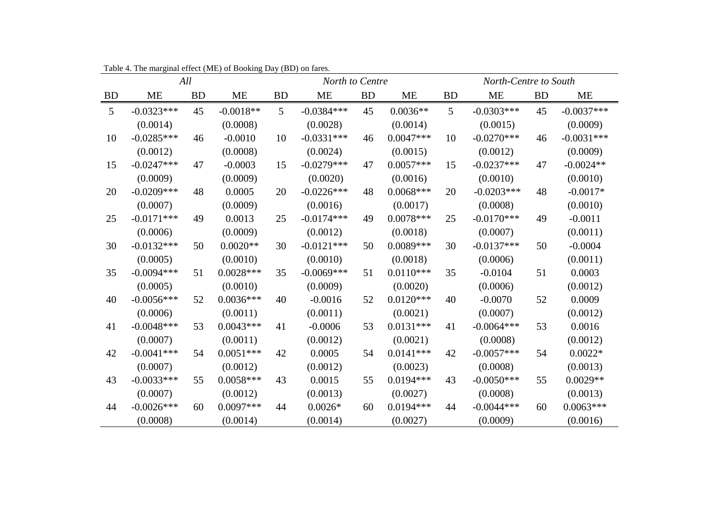|                |              | All<br>North-Centre to South<br>North to Centre |             |           |              |           |             |                |              |           |              |
|----------------|--------------|-------------------------------------------------|-------------|-----------|--------------|-----------|-------------|----------------|--------------|-----------|--------------|
| <b>BD</b>      | <b>ME</b>    | BD                                              | <b>ME</b>   | <b>BD</b> | <b>ME</b>    | <b>BD</b> | <b>ME</b>   | <b>BD</b>      | <b>ME</b>    | <b>BD</b> | <b>ME</b>    |
| 5 <sup>5</sup> | $-0.0323***$ | 45                                              | $-0.0018**$ | 5         | $-0.0384***$ | 45        | $0.0036**$  | 5 <sup>5</sup> | $-0.0303***$ | 45        | $-0.0037***$ |
|                | (0.0014)     |                                                 | (0.0008)    |           | (0.0028)     |           | (0.0014)    |                | (0.0015)     |           | (0.0009)     |
| 10             | $-0.0285***$ | 46                                              | $-0.0010$   | 10        | $-0.0331***$ | 46        | $0.0047***$ | 10             | $-0.0270***$ | 46        | $-0.0031***$ |
|                | (0.0012)     |                                                 | (0.0008)    |           | (0.0024)     |           | (0.0015)    |                | (0.0012)     |           | (0.0009)     |
| 15             | $-0.0247***$ | 47                                              | $-0.0003$   | 15        | $-0.0279***$ | 47        | $0.0057***$ | 15             | $-0.0237***$ | 47        | $-0.0024**$  |
|                | (0.0009)     |                                                 | (0.0009)    |           | (0.0020)     |           | (0.0016)    |                | (0.0010)     |           | (0.0010)     |
| 20             | $-0.0209***$ | 48                                              | 0.0005      | 20        | $-0.0226***$ | 48        | $0.0068***$ | 20             | $-0.0203***$ | 48        | $-0.0017*$   |
|                | (0.0007)     |                                                 | (0.0009)    |           | (0.0016)     |           | (0.0017)    |                | (0.0008)     |           | (0.0010)     |
| 25             | $-0.0171***$ | 49                                              | 0.0013      | 25        | $-0.0174***$ | 49        | $0.0078***$ | 25             | $-0.0170***$ | 49        | $-0.0011$    |
|                | (0.0006)     |                                                 | (0.0009)    |           | (0.0012)     |           | (0.0018)    |                | (0.0007)     |           | (0.0011)     |
| 30             | $-0.0132***$ | 50                                              | $0.0020**$  | 30        | $-0.0121***$ | 50        | $0.0089***$ | 30             | $-0.0137***$ | 50        | $-0.0004$    |
|                | (0.0005)     |                                                 | (0.0010)    |           | (0.0010)     |           | (0.0018)    |                | (0.0006)     |           | (0.0011)     |
| 35             | $-0.0094***$ | 51                                              | $0.0028***$ | 35        | $-0.0069***$ | 51        | $0.0110***$ | 35             | $-0.0104$    | 51        | 0.0003       |
|                | (0.0005)     |                                                 | (0.0010)    |           | (0.0009)     |           | (0.0020)    |                | (0.0006)     |           | (0.0012)     |
| 40             | $-0.0056***$ | 52                                              | $0.0036***$ | 40        | $-0.0016$    | 52        | $0.0120***$ | 40             | $-0.0070$    | 52        | 0.0009       |
|                | (0.0006)     |                                                 | (0.0011)    |           | (0.0011)     |           | (0.0021)    |                | (0.0007)     |           | (0.0012)     |
| 41             | $-0.0048***$ | 53                                              | $0.0043***$ | 41        | $-0.0006$    | 53        | $0.0131***$ | 41             | $-0.0064***$ | 53        | 0.0016       |
|                | (0.0007)     |                                                 | (0.0011)    |           | (0.0012)     |           | (0.0021)    |                | (0.0008)     |           | (0.0012)     |
| 42             | $-0.0041***$ | 54                                              | $0.0051***$ | 42        | 0.0005       | 54        | $0.0141***$ | 42             | $-0.0057***$ | 54        | $0.0022*$    |
|                | (0.0007)     |                                                 | (0.0012)    |           | (0.0012)     |           | (0.0023)    |                | (0.0008)     |           | (0.0013)     |
| 43             | $-0.0033***$ | 55                                              | $0.0058***$ | 43        | 0.0015       | 55        | $0.0194***$ | 43             | $-0.0050***$ | 55        | $0.0029**$   |
|                | (0.0007)     |                                                 | (0.0012)    |           | (0.0013)     |           | (0.0027)    |                | (0.0008)     |           | (0.0013)     |
| 44             | $-0.0026***$ | 60                                              | $0.0097***$ | 44        | $0.0026*$    | 60        | $0.0194***$ | 44             | $-0.0044***$ | 60        | $0.0063***$  |
|                | (0.0008)     |                                                 | (0.0014)    |           | (0.0014)     |           | (0.0027)    |                | (0.0009)     |           | (0.0016)     |

Table 4. The marginal effect (ME) of Booking Day (BD) on fares.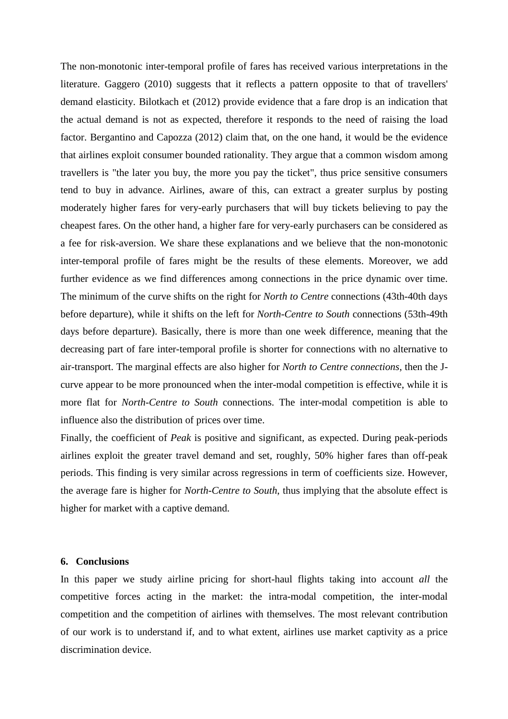The non-monotonic inter-temporal profile of fares has received various interpretations in the literature. Gaggero (2010) suggests that it reflects a pattern opposite to that of travellers' demand elasticity. Bilotkach et (2012) provide evidence that a fare drop is an indication that the actual demand is not as expected, therefore it responds to the need of raising the load factor. Bergantino and Capozza (2012) claim that, on the one hand, it would be the evidence that airlines exploit consumer bounded rationality. They argue that a common wisdom among travellers is "the later you buy, the more you pay the ticket", thus price sensitive consumers tend to buy in advance. Airlines, aware of this, can extract a greater surplus by posting moderately higher fares for very-early purchasers that will buy tickets believing to pay the cheapest fares. On the other hand, a higher fare for very-early purchasers can be considered as a fee for risk-aversion. We share these explanations and we believe that the non-monotonic inter-temporal profile of fares might be the results of these elements. Moreover, we add further evidence as we find differences among connections in the price dynamic over time. The minimum of the curve shifts on the right for *North to Centre* connections (43th-40th days before departure), while it shifts on the left for *North-Centre to South* connections (53th-49th days before departure). Basically, there is more than one week difference, meaning that the decreasing part of fare inter-temporal profile is shorter for connections with no alternative to air-transport. The marginal effects are also higher for *North to Centre connections*, then the Jcurve appear to be more pronounced when the inter-modal competition is effective, while it is more flat for *North-Centre to South* connections. The inter-modal competition is able to influence also the distribution of prices over time.

Finally, the coefficient of *Peak* is positive and significant, as expected. During peak-periods airlines exploit the greater travel demand and set, roughly, 50% higher fares than off-peak periods. This finding is very similar across regressions in term of coefficients size. However, the average fare is higher for *North-Centre to South*, thus implying that the absolute effect is higher for market with a captive demand.

#### **6. Conclusions**

In this paper we study airline pricing for short-haul flights taking into account *all* the competitive forces acting in the market: the intra-modal competition, the inter-modal competition and the competition of airlines with themselves. The most relevant contribution of our work is to understand if, and to what extent, airlines use market captivity as a price discrimination device.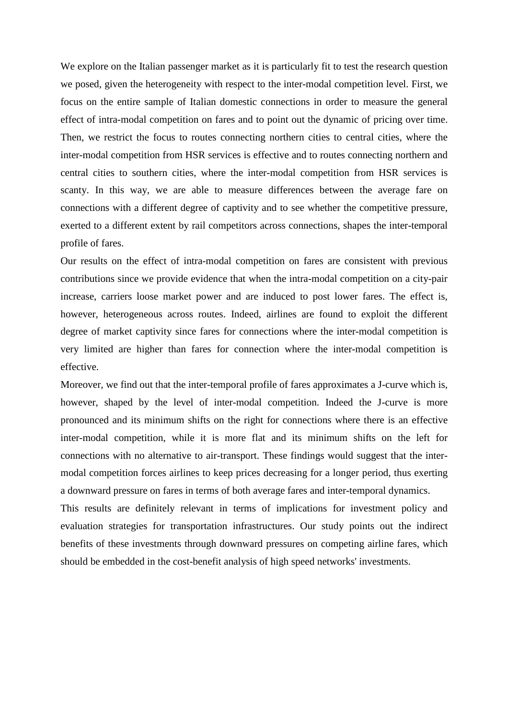We explore on the Italian passenger market as it is particularly fit to test the research question we posed, given the heterogeneity with respect to the inter-modal competition level. First, we focus on the entire sample of Italian domestic connections in order to measure the general effect of intra-modal competition on fares and to point out the dynamic of pricing over time. Then, we restrict the focus to routes connecting northern cities to central cities, where the inter-modal competition from HSR services is effective and to routes connecting northern and central cities to southern cities, where the inter-modal competition from HSR services is scanty. In this way, we are able to measure differences between the average fare on connections with a different degree of captivity and to see whether the competitive pressure, exerted to a different extent by rail competitors across connections, shapes the inter-temporal profile of fares.

Our results on the effect of intra-modal competition on fares are consistent with previous contributions since we provide evidence that when the intra-modal competition on a city-pair increase, carriers loose market power and are induced to post lower fares. The effect is, however, heterogeneous across routes. Indeed, airlines are found to exploit the different degree of market captivity since fares for connections where the inter-modal competition is very limited are higher than fares for connection where the inter-modal competition is effective.

Moreover, we find out that the inter-temporal profile of fares approximates a J-curve which is, however, shaped by the level of inter-modal competition. Indeed the J-curve is more pronounced and its minimum shifts on the right for connections where there is an effective inter-modal competition, while it is more flat and its minimum shifts on the left for connections with no alternative to air-transport. These findings would suggest that the intermodal competition forces airlines to keep prices decreasing for a longer period, thus exerting a downward pressure on fares in terms of both average fares and inter-temporal dynamics.

This results are definitely relevant in terms of implications for investment policy and evaluation strategies for transportation infrastructures. Our study points out the indirect benefits of these investments through downward pressures on competing airline fares, which should be embedded in the cost-benefit analysis of high speed networks' investments.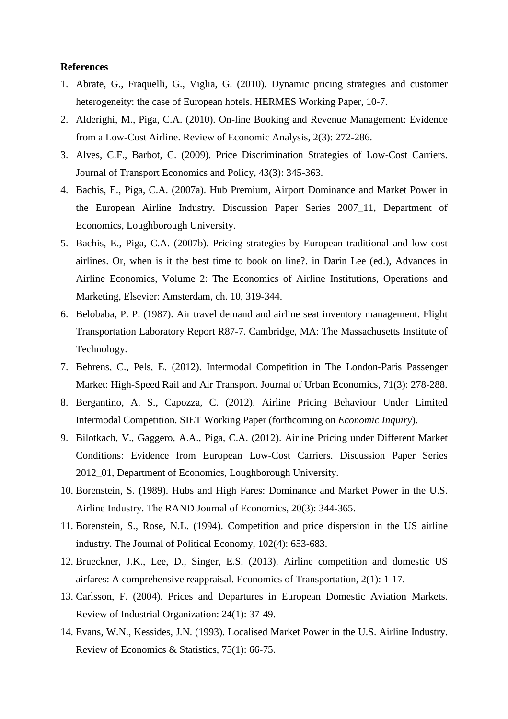## **References**

- 1. Abrate, G., Fraquelli, G., Viglia, G. (2010). Dynamic pricing strategies and customer heterogeneity: the case of European hotels. HERMES Working Paper, 10-7.
- 2. Alderighi, M., Piga, C.A. (2010). On-line Booking and Revenue Management: Evidence from a Low-Cost Airline. Review of Economic Analysis, 2(3): 272-286.
- 3. Alves, C.F., Barbot, C. (2009). Price Discrimination Strategies of Low-Cost Carriers. Journal of Transport Economics and Policy, 43(3): 345-363.
- 4. Bachis, E., Piga, C.A. (2007a). Hub Premium, Airport Dominance and Market Power in the European Airline Industry. Discussion Paper Series 2007\_11, Department of Economics, Loughborough University.
- 5. Bachis, E., Piga, C.A. (2007b). Pricing strategies by European traditional and low cost airlines. Or, when is it the best time to book on line?. in Darin Lee (ed.), Advances in Airline Economics, Volume 2: The Economics of Airline Institutions, Operations and Marketing, Elsevier: Amsterdam, ch. 10, 319-344.
- 6. Belobaba, P. P. (1987). Air travel demand and airline seat inventory management. Flight Transportation Laboratory Report R87-7. Cambridge, MA: The Massachusetts Institute of Technology.
- 7. Behrens, C., Pels, E. (2012). Intermodal Competition in The London-Paris Passenger Market: High-Speed Rail and Air Transport. Journal of Urban Economics, 71(3): 278-288.
- 8. Bergantino, A. S., Capozza, C. (2012). Airline Pricing Behaviour Under Limited Intermodal Competition. SIET Working Paper (forthcoming on *Economic Inquiry*).
- 9. Bilotkach, V., Gaggero, A.A., Piga, C.A. (2012). Airline Pricing under Different Market Conditions: Evidence from European Low-Cost Carriers. Discussion Paper Series 2012\_01, Department of Economics, Loughborough University.
- 10. Borenstein, S. (1989). Hubs and High Fares: Dominance and Market Power in the U.S. Airline Industry. The RAND Journal of Economics, 20(3): 344-365.
- 11. Borenstein, S., Rose, N.L. (1994). Competition and price dispersion in the US airline industry. The Journal of Political Economy, 102(4): 653-683.
- 12. Brueckner, J.K., Lee, D., Singer, E.S. (2013). Airline competition and domestic US airfares: A comprehensive reappraisal. Economics of Transportation, 2(1): 1-17.
- 13. Carlsson, F. (2004). Prices and Departures in European Domestic Aviation Markets. Review of Industrial Organization: 24(1): 37-49.
- 14. Evans, W.N., Kessides, J.N. (1993). Localised Market Power in the U.S. Airline Industry. Review of Economics & Statistics, 75(1): 66-75.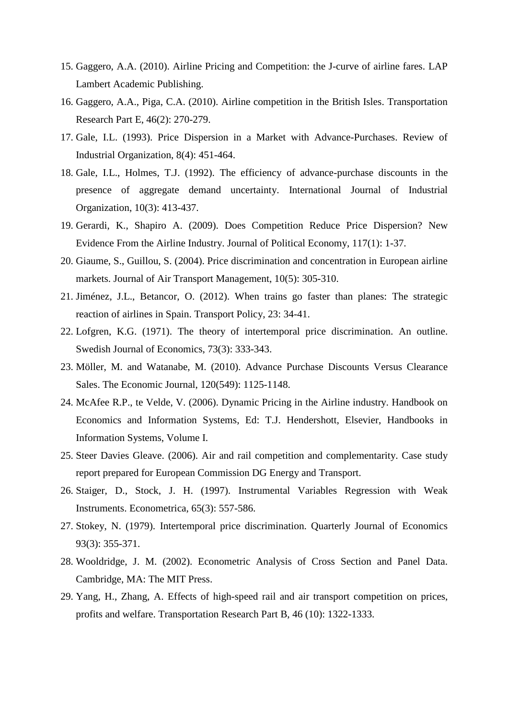- 15. Gaggero, A.A. (2010). Airline Pricing and Competition: the J-curve of airline fares. LAP Lambert Academic Publishing.
- 16. Gaggero, A.A., Piga, C.A. (2010). Airline competition in the British Isles. Transportation Research Part E, 46(2): 270-279.
- 17. Gale, I.L. (1993). Price Dispersion in a Market with Advance-Purchases. Review of Industrial Organization, 8(4): 451-464.
- 18. Gale, I.L., Holmes, T.J. (1992). The efficiency of advance-purchase discounts in the presence of aggregate demand uncertainty. International Journal of Industrial Organization, 10(3): 413-437.
- 19. Gerardi, K., Shapiro A. (2009). Does Competition Reduce Price Dispersion? New Evidence From the Airline Industry. Journal of Political Economy, 117(1): 1-37.
- 20. Giaume, S., Guillou, S. (2004). Price discrimination and concentration in European airline markets. Journal of Air Transport Management, 10(5): 305-310.
- 21. Jiménez, J.L., Betancor, O. (2012). When trains go faster than planes: The strategic reaction of airlines in Spain. Transport Policy, 23: 34-41.
- 22. Lofgren, K.G. (1971). The theory of intertemporal price discrimination. An outline. Swedish Journal of Economics, 73(3): 333-343.
- 23. Möller, M. and Watanabe, M. (2010). Advance Purchase Discounts Versus Clearance Sales. The Economic Journal, 120(549): 1125-1148.
- 24. McAfee R.P., te Velde, V. (2006). Dynamic Pricing in the Airline industry. Handbook on Economics and Information Systems, Ed: T.J. Hendershott, Elsevier, Handbooks in Information Systems, Volume I.
- 25. Steer Davies Gleave. (2006). Air and rail competition and complementarity. Case study report prepared for European Commission DG Energy and Transport.
- 26. Staiger, D., Stock, J. H. (1997). Instrumental Variables Regression with Weak Instruments. Econometrica, 65(3): 557-586.
- 27. Stokey, N. (1979). Intertemporal price discrimination. Quarterly Journal of Economics 93(3): 355-371.
- 28. Wooldridge, J. M. (2002). Econometric Analysis of Cross Section and Panel Data. Cambridge, MA: The MIT Press.
- 29. Yang, H., Zhang, A. Effects of high-speed rail and air transport competition on prices, profits and welfare. Transportation Research Part B, 46 (10): 1322-1333.